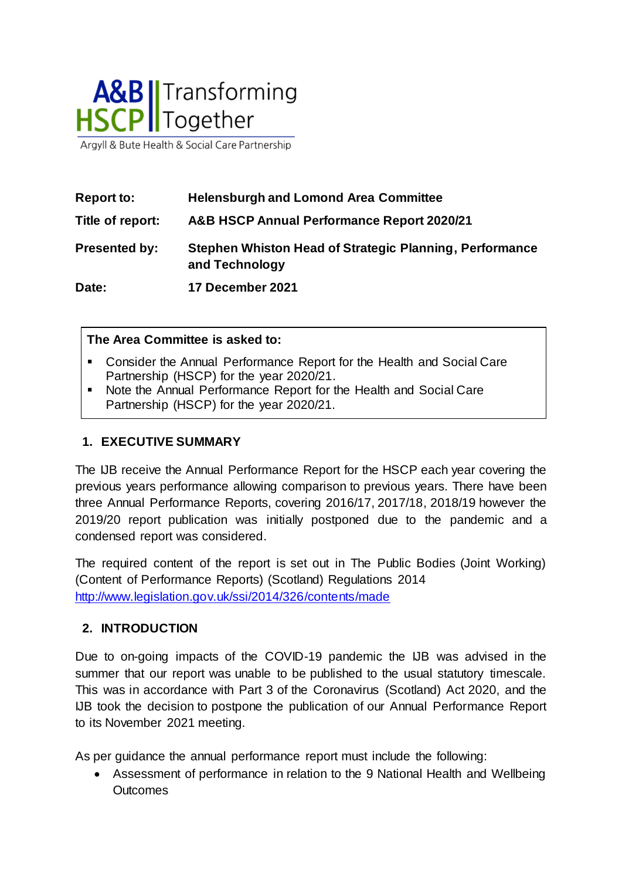

Argyll & Bute Health & Social Care Partnership

| <b>Report to:</b>    | <b>Helensburgh and Lomond Area Committee</b>                              |
|----------------------|---------------------------------------------------------------------------|
| Title of report:     | A&B HSCP Annual Performance Report 2020/21                                |
| <b>Presented by:</b> | Stephen Whiston Head of Strategic Planning, Performance<br>and Technology |
| Date:                | 17 December 2021                                                          |

#### **The Area Committee is asked to:**

- Consider the Annual Performance Report for the Health and Social Care Partnership (HSCP) for the year 2020/21.
- Note the Annual Performance Report for the Health and Social Care Partnership (HSCP) for the year 2020/21.

#### **1. EXECUTIVE SUMMARY**

The IJB receive the Annual Performance Report for the HSCP each year covering the previous years performance allowing comparison to previous years. There have been three Annual Performance Reports, covering 2016/17, 2017/18, 2018/19 however the 2019/20 report publication was initially postponed due to the pandemic and a condensed report was considered.

The required content of the report is set out in The Public Bodies (Joint Working) (Content of Performance Reports) (Scotland) Regulations 2014 <http://www.legislation.gov.uk/ssi/2014/326/contents/made>

#### **2. INTRODUCTION**

Due to on-going impacts of the COVID-19 pandemic the IJB was advised in the summer that our report was unable to be published to the usual statutory timescale. This was in accordance with Part 3 of the Coronavirus (Scotland) Act 2020, and the IJB took the decision to postpone the publication of our Annual Performance Report to its November 2021 meeting.

As per guidance the annual performance report must include the following:

 Assessment of performance in relation to the 9 National Health and Wellbeing **Outcomes**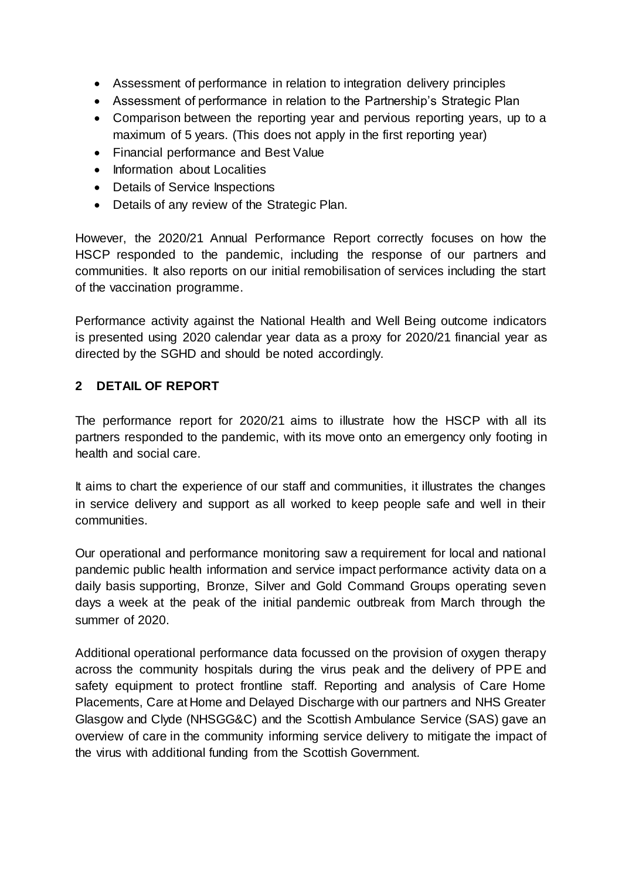- Assessment of performance in relation to integration delivery principles
- Assessment of performance in relation to the Partnership's Strategic Plan
- Comparison between the reporting year and pervious reporting years, up to a maximum of 5 years. (This does not apply in the first reporting year)
- Financial performance and Best Value
- Information about Localities
- Details of Service Inspections
- Details of any review of the Strategic Plan.

However, the 2020/21 Annual Performance Report correctly focuses on how the HSCP responded to the pandemic, including the response of our partners and communities. It also reports on our initial remobilisation of services including the start of the vaccination programme.

Performance activity against the National Health and Well Being outcome indicators is presented using 2020 calendar year data as a proxy for 2020/21 financial year as directed by the SGHD and should be noted accordingly.

#### **2 DETAIL OF REPORT**

The performance report for 2020/21 aims to illustrate how the HSCP with all its partners responded to the pandemic, with its move onto an emergency only footing in health and social care.

It aims to chart the experience of our staff and communities, it illustrates the changes in service delivery and support as all worked to keep people safe and well in their communities.

Our operational and performance monitoring saw a requirement for local and national pandemic public health information and service impact performance activity data on a daily basis supporting, Bronze, Silver and Gold Command Groups operating seven days a week at the peak of the initial pandemic outbreak from March through the summer of 2020.

Additional operational performance data focussed on the provision of oxygen therapy across the community hospitals during the virus peak and the delivery of PPE and safety equipment to protect frontline staff. Reporting and analysis of Care Home Placements, Care at Home and Delayed Discharge with our partners and NHS Greater Glasgow and Clyde (NHSGG&C) and the Scottish Ambulance Service (SAS) gave an overview of care in the community informing service delivery to mitigate the impact of the virus with additional funding from the Scottish Government.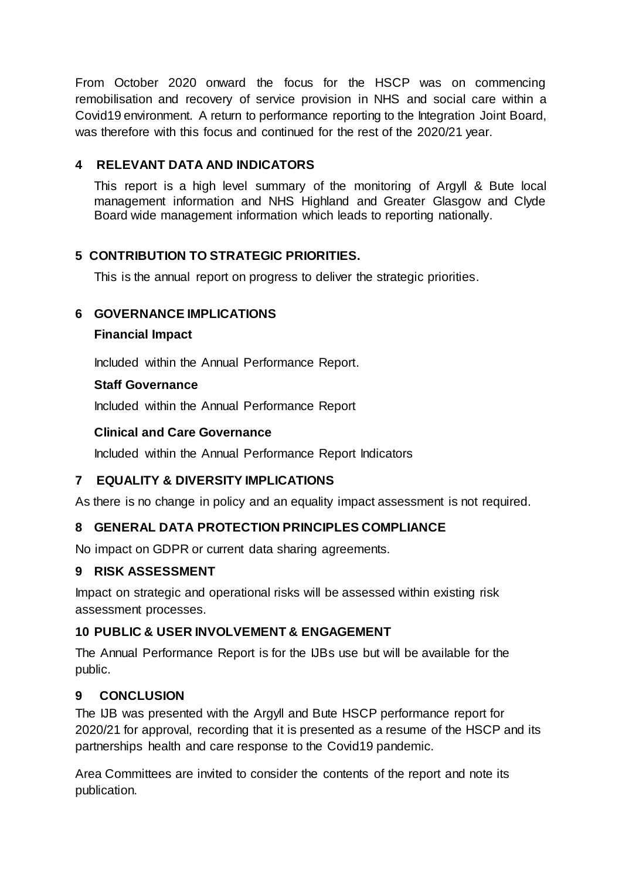From October 2020 onward the focus for the HSCP was on commencing remobilisation and recovery of service provision in NHS and social care within a Covid19 environment. A return to performance reporting to the Integration Joint Board, was therefore with this focus and continued for the rest of the 2020/21 year.

## **4 RELEVANT DATA AND INDICATORS**

This report is a high level summary of the monitoring of Argyll & Bute local management information and NHS Highland and Greater Glasgow and Clyde Board wide management information which leads to reporting nationally.

## **5 CONTRIBUTION TO STRATEGIC PRIORITIES.**

This is the annual report on progress to deliver the strategic priorities.

## **6 GOVERNANCE IMPLICATIONS**

#### **Financial Impact**

Included within the Annual Performance Report.

#### **Staff Governance**

Included within the Annual Performance Report

## **Clinical and Care Governance**

Included within the Annual Performance Report Indicators

## **7 EQUALITY & DIVERSITY IMPLICATIONS**

As there is no change in policy and an equality impact assessment is not required.

## **8 GENERAL DATA PROTECTION PRINCIPLES COMPLIANCE**

No impact on GDPR or current data sharing agreements.

## **9 RISK ASSESSMENT**

Impact on strategic and operational risks will be assessed within existing risk assessment processes.

## **10 PUBLIC & USER INVOLVEMENT & ENGAGEMENT**

The Annual Performance Report is for the IJBs use but will be available for the public.

## **9 CONCLUSION**

The IJB was presented with the Argyll and Bute HSCP performance report for 2020/21 for approval, recording that it is presented as a resume of the HSCP and its partnerships health and care response to the Covid19 pandemic.

Area Committees are invited to consider the contents of the report and note its publication.